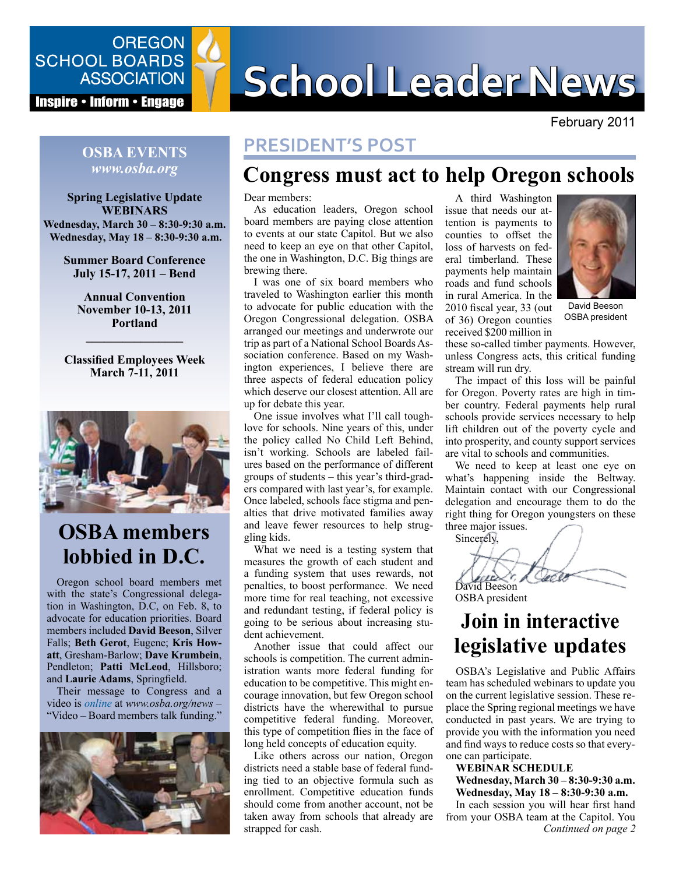

**Inspire • Inform • Engage** 

# SCHOOL BOARDS<br>ASSOCIATION SCHOOL Leader News

February 2011

#### **PRESIDENT'S POST**

# **Congress must act to help Oregon schools**

Dear members:

As education leaders, Oregon school board members are paying close attention to events at our state Capitol. But we also need to keep an eye on that other Capitol, the one in Washington, D.C. Big things are brewing there.

I was one of six board members who traveled to Washington earlier this month to advocate for public education with the Oregon Congressional delegation. OSBA arranged our meetings and underwrote our trip as part of a National School Boards Association conference. Based on my Washington experiences, I believe there are three aspects of federal education policy which deserve our closest attention. All are up for debate this year.

One issue involves what I'll call toughlove for schools. Nine years of this, under the policy called No Child Left Behind, isn't working. Schools are labeled failures based on the performance of different groups of students – this year's third-graders compared with last year's, for example. Once labeled, schools face stigma and penalties that drive motivated families away and leave fewer resources to help struggling kids.

What we need is a testing system that measures the growth of each student and a funding system that uses rewards, not penalties, to boost performance. We need more time for real teaching, not excessive and redundant testing, if federal policy is going to be serious about increasing student achievement.

Another issue that could affect our schools is competition. The current administration wants more federal funding for education to be competitive. This might encourage innovation, but few Oregon school districts have the wherewithal to pursue competitive federal funding. Moreover, this type of competition flies in the face of long held concepts of education equity.

Like others across our nation, Oregon districts need a stable base of federal funding tied to an objective formula such as enrollment. Competitive education funds should come from another account, not be taken away from schools that already are strapped for cash.

A third Washington issue that needs our attention is payments to counties to offset the loss of harvests on federal timberland. These payments help maintain roads and fund schools in rural America. In the 2010 fiscal year, 33 (out of 36) Oregon counties received \$200 million in



David Beeson OSBA president

these so-called timber payments. However, unless Congress acts, this critical funding stream will run dry.

The impact of this loss will be painful for Oregon. Poverty rates are high in timber country. Federal payments help rural schools provide services necessary to help lift children out of the poverty cycle and into prosperity, and county support services are vital to schools and communities.

We need to keep at least one eye on what's happening inside the Beltway. Maintain contact with our Congressional delegation and encourage them to do the right thing for Oregon youngsters on these three major issues.

Sincerely,



# **Join in interactive legislative updates**

OSBA's Legislative and Public Affairs team has scheduled webinars to update you on the current legislative session. These replace the Spring regional meetings we have conducted in past years. We are trying to provide you with the information you need and find ways to reduce costs so that everyone can participate.

#### **WEBINAR SCHEDULE**

**Wednesday, March 30 – 8:30-9:30 a.m. Wednesday, May 18 – 8:30-9:30 a.m.**

*Continued on page 2*  In each session you will hear first hand from your OSBA team at the Capitol. You

#### **OSBA EVENTS** *www.osba.org*

**Spring Legislative Update WEBINARS Wednesday, March 30 – 8:30-9:30 a.m. Wednesday, May 18 – 8:30-9:30 a.m.**

> **Summer Board Conference July 15-17, 2011 – Bend**

**Annual Convention November 10-13, 2011 Portland**

**Classified Employees Week March 7-11, 2011**

**––––––––––––––––**



# **OSBA members lobbied in D.C.**

Oregon school board members met with the state's Congressional delegation in Washington, D.C, on Feb. 8, to advocate for education priorities. Board members included **David Beeson**, Silver Falls; **Beth Gerot**, Eugene; **Kris Howatt**, Gresham-Barlow; **Dave Krumbein**, Pendleton; **Patti McLeod**, Hillsboro; and **Laurie Adams**, Springfield.

Their message to Congress and a video is *[online](http://www.osba.org/News%20Center/Announcements/2011-02-17_FRN_Video.aspx)* at *www.osba.org/news –*  "Video – Board members talk funding."

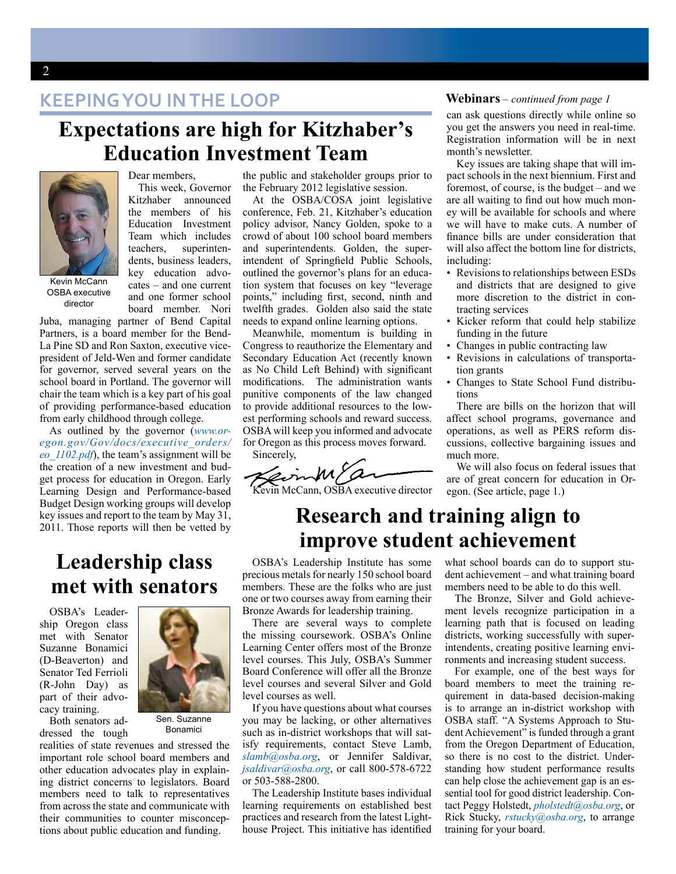**KEEPING YOU IN THE LOOP**

### **Expectations are high for Kitzhaber's Education Investment Team**



Dear members.

This week, Governor Kitzhaber announced the members of his Education Investment Team which includes teachers, superintendents, business leaders, key education advocates – and one current and one former school board member. Nori

Kevin McCann OSBA executive director

Juba, managing partner of Bend Capital Partners, is a board member for the Bend-La Pine SD and Ron Saxton, executive vicepresident of Jeld-Wen and former candidate for governor, served several years on the school board in Portland. The governor will chair the team which is a key part of his goal of providing performance-based education from early childhood through college.

As outlined by the governor (*[www.or](www.oregon.gov/Gov/docs/executive_orders/eo_1102.pdf)[egon.gov/Gov/docs/executive\\_orders/](www.oregon.gov/Gov/docs/executive_orders/eo_1102.pdf) [eo\\_1102.pdf](www.oregon.gov/Gov/docs/executive_orders/eo_1102.pdf)*), the team's assignment will be the creation of a new investment and budget process for education in Oregon. Early Learning Design and Performance-based Budget Design working groups will develop key issues and report to the team by May 31, 2011. Those reports will then be vetted by

#### **Leadership class met with senators**

OSBA's Leadership Oregon class met with Senator Suzanne Bonamici (D-Beaverton) and Senator Ted Ferrioli (R-John Day) as part of their advocacy training.



Bonamici

Both senators addressed the tough

realities of state revenues and stressed the important role school board members and other education advocates play in explaining district concerns to legislators. Board members need to talk to representatives from across the state and communicate with their communities to counter misconceptions about public education and funding.

the public and stakeholder groups prior to the February 2012 legislative session.

At the OSBA/COSA joint legislative conference, Feb. 21, Kitzhaber's education policy advisor, Nancy Golden, spoke to a crowd of about 100 school board members and superintendents. Golden, the superintendent of Springfield Public Schools, outlined the governor's plans for an education system that focuses on key "leverage points," including first, second, ninth and twelfth grades. Golden also said the state needs to expand online learning options.

Meanwhile, momentum is building in Congress to reauthorize the Elementary and Secondary Education Act (recently known as No Child Left Behind) with significant modifications. The administration wants punitive components of the law changed to provide additional resources to the lowest performing schools and reward success. OSBA will keep you informed and advocate for Oregon as this process moves forward. Sincerely,

Kevin McCann, OSBA executive director

#### **Webinars** – *continued from page 1*

can ask questions directly while online so you get the answers you need in real-time. Registration information will be in next month's newsletter.

Key issues are taking shape that will impact schools in the next biennium. First and foremost, of course, is the budget – and we are all waiting to find out how much money will be available for schools and where we will have to make cuts. A number of finance bills are under consideration that will also affect the bottom line for districts, including:

- Revisions to relationships between ESDs and districts that are designed to give more discretion to the district in contracting services
- Kicker reform that could help stabilize funding in the future
- Changes in public contracting law
- Revisions in calculations of transportation grants
- Changes to State School Fund distributions

There are bills on the horizon that will affect school programs, governance and operations, as well as PERS reform discussions, collective bargaining issues and much more.

We will also focus on federal issues that are of great concern for education in Oregon. (See article, page 1.)

## **Research and training align to improve student achievement**

OSBA's Leadership Institute has some precious metals for nearly 150 school board members. These are the folks who are just one or two courses away from earning their Bronze Awards for leadership training.

There are several ways to complete the missing coursework. OSBA's Online Learning Center offers most of the Bronze level courses. This July, OSBA's Summer Board Conference will offer all the Bronze level courses and several Silver and Gold level courses as well.

If you have questions about what courses you may be lacking, or other alternatives such as in-district workshops that will satisfy requirements, contact Steve Lamb, *[slamb@osba.org](mailto:slamb@osba.org)*, or Jennifer Saldivar, *[jsaldivar@osba.org](mailto:jsaldivar@osba.org)*, or call 800-578-6722 or 503-588-2800.

The Leadership Institute bases individual learning requirements on established best practices and research from the latest Lighthouse Project. This initiative has identified what school boards can do to support student achievement – and what training board members need to be able to do this well.

The Bronze, Silver and Gold achievement levels recognize participation in a learning path that is focused on leading districts, working successfully with superintendents, creating positive learning environments and increasing student success.

For example, one of the best ways for board members to meet the training requirement in data-based decision-making is to arrange an in-district workshop with OSBA staff. "A Systems Approach to Student Achievement" is funded through a grant from the Oregon Department of Education, so there is no cost to the district. Understanding how student performance results can help close the achievement gap is an essential tool for good district leadership. Contact Peggy Holstedt, *[pholstedt@osba.org](mailto:pholstedt@osba.org)*, or Rick Stucky, *[rstucky@osba.org](mailto:rstucky@osba.org)*, to arrange training for your board.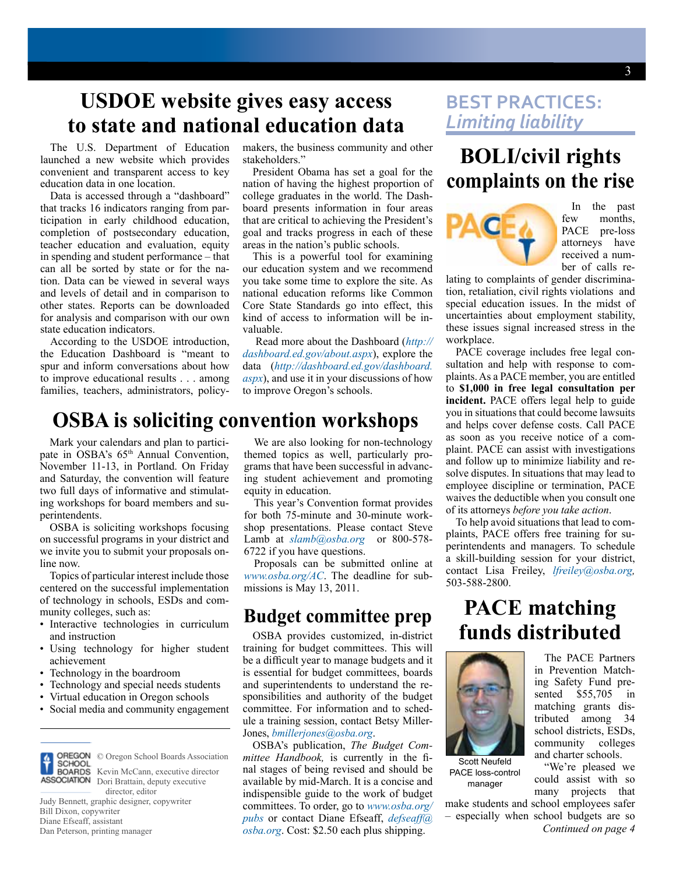# **USDOE website gives easy access to state and national education data**

The U.S. Department of Education launched a new website which provides convenient and transparent access to key education data in one location.

Data is accessed through a "dashboard" that tracks 16 indicators ranging from participation in early childhood education, completion of postsecondary education, teacher education and evaluation, equity in spending and student performance – that can all be sorted by state or for the nation. Data can be viewed in several ways and levels of detail and in comparison to other states. Reports can be downloaded for analysis and comparison with our own state education indicators.

According to the USDOE introduction, the Education Dashboard is "meant to spur and inform conversations about how to improve educational results . . . among families, teachers, administrators, policymakers, the business community and other stakeholders."

President Obama has set a goal for the nation of having the highest proportion of college graduates in the world. The Dashboard presents information in four areas that are critical to achieving the President's goal and tracks progress in each of these areas in the nation's public schools.

This is a powerful tool for examining our education system and we recommend you take some time to explore the site. As national education reforms like Common Core State Standards go into effect, this kind of access to information will be invaluable.

 Read more about the Dashboard (*[http://](http://dashboard.ed.gov/about.aspx) [dashboard.ed.gov/about.aspx](http://dashboard.ed.gov/about.aspx)*), explore the data (*[http://dashboard.ed.gov/dashboard.](http://dashboard.ed.gov/dashboard.aspx) [aspx](http://dashboard.ed.gov/dashboard.aspx)*), and use it in your discussions of how to improve Oregon's schools.

#### **OSBA is soliciting convention workshops**

Mark your calendars and plan to participate in OSBA's 65<sup>th</sup> Annual Convention, November 11-13, in Portland. On Friday and Saturday, the convention will feature two full days of informative and stimulating workshops for board members and superintendents.

OSBA is soliciting workshops focusing on successful programs in your district and we invite you to submit your proposals online now.

Topics of particular interest include those centered on the successful implementation of technology in schools, ESDs and community colleges, such as:

- Interactive technologies in curriculum and instruction
- Using technology for higher student achievement
- Technology in the boardroom
- Technology and special needs students
- Virtual education in Oregon schools
- Social media and community engagement



© Oregon School Boards Association Kevin McCann, executive director **ASSOCIATION** Dori Brattain, deputy executive

 director, editor Judy Bennett, graphic designer, copywriter Bill Dixon, copywriter Diane Efseaff, assistant Dan Peterson, printing manager

We are also looking for non-technology themed topics as well, particularly programs that have been successful in advancing student achievement and promoting equity in education.

This year's Convention format provides for both 75-minute and 30-minute workshop presentations. Please contact Steve Lamb at  $slamb@osba.org$  or 800-578-6722 if you have questions.

Proposals can be submitted online at *<www.osba.org/AC>*. The deadline for submissions is May 13, 2011.

#### **Budget committee prep**

OSBA provides customized, in-district training for budget committees. This will be a difficult year to manage budgets and it is essential for budget committees, boards and superintendents to understand the responsibilities and authority of the budget committee. For information and to schedule a training session, contact Betsy Miller-Jones, *[bmillerjones@osba.org](mailto:bmillerjones@osba.org)*.

OSBA's publication, *The Budget Committee Handbook,* is currently in the final stages of being revised and should be available by mid-March. It is a concise and indispensible guide to the work of budget committees. To order, go to *[www.osba.org/](www.osba.org/pubs) [pubs](www.osba.org/pubs)* or contact Diane Efseaff, *[defseaff@](mailto:defseaff@osba.org) [osba.org](mailto:defseaff@osba.org)*. Cost: \$2.50 each plus shipping.

#### **BEST PRACTICES:**  *Limiting liability*

## **BOLI/civil rights complaints on the rise**



In the past few months, PACE pre-loss attorneys have received a number of calls re-

lating to complaints of gender discrimination, retaliation, civil rights violations and special education issues. In the midst of uncertainties about employment stability, these issues signal increased stress in the workplace.

PACE coverage includes free legal consultation and help with response to complaints. As a PACE member, you are entitled to **\$1,000 in free legal consultation per incident.** PACE offers legal help to guide you in situations that could become lawsuits and helps cover defense costs. Call PACE as soon as you receive notice of a complaint. PACE can assist with investigations and follow up to minimize liability and resolve disputes. In situations that may lead to employee discipline or termination, PACE waives the deductible when you consult one of its attorneys *before you take action*.

To help avoid situations that lead to complaints, PACE offers free training for superintendents and managers. To schedule a skill-building session for your district, contact Lisa Freiley, *[lfreiley@osba.org,](mailto:lfreiley@osba.org)*  503-588-2800.

### **PACE matching funds distributed**



Scott Neufeld PACE loss-control manager

make students and school employees safer – especially when school budgets are so

The PACE Partners in Prevention Matching Safety Fund presented \$55,705 in matching grants distributed among 34 school districts, ESDs, community colleges and charter schools.

"We're pleased we could assist with so many projects that

*Continued on page 4*